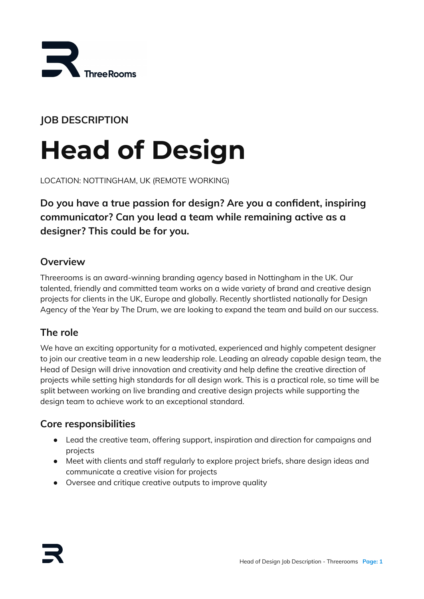

**JOB DESCRIPTION**

# **Head of Design**

LOCATION: NOTTINGHAM, UK (REMOTE WORKING)

**Do you have a true passion for design? Are you a confident, inspiring communicator? Can you lead a team while remaining active as a designer? This could be for you.**

### **Overview**

Threerooms is an award-winning branding agency based in Nottingham in the UK. Our talented, friendly and committed team works on a wide variety of brand and creative design projects for clients in the UK, Europe and globally. Recently shortlisted nationally for Design Agency of the Year by The Drum, we are looking to expand the team and build on our success.

### **The role**

We have an exciting opportunity for a motivated, experienced and highly competent designer to join our creative team in a new leadership role. Leading an already capable design team, the Head of Design will drive innovation and creativity and help define the creative direction of projects while setting high standards for all design work. This is a practical role, so time will be split between working on live branding and creative design projects while supporting the design team to achieve work to an exceptional standard.

### **Core responsibilities**

- Lead the creative team, offering support, inspiration and direction for campaigns and projects
- Meet with clients and staff regularly to explore project briefs, share design ideas and communicate a creative vision for projects
- Oversee and critique creative outputs to improve quality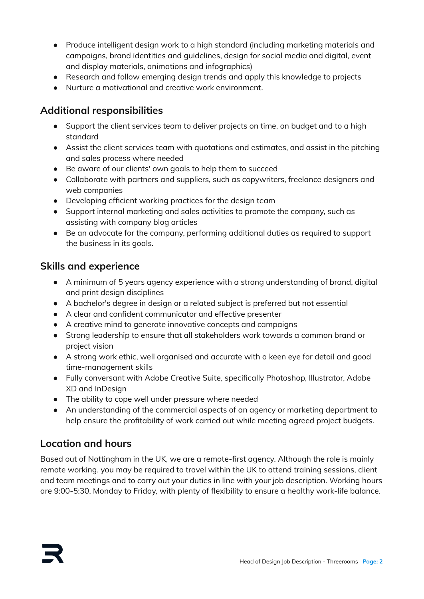- Produce intelligent design work to a high standard (including marketing materials and campaigns, brand identities and guidelines, design for social media and digital, event and display materials, animations and infographics)
- Research and follow emerging design trends and apply this knowledge to projects
- Nurture a motivational and creative work environment.

## **Additional responsibilities**

- Support the client services team to deliver projects on time, on budget and to a high standard
- Assist the client services team with quotations and estimates, and assist in the pitching and sales process where needed
- Be aware of our clients' own goals to help them to succeed
- Collaborate with partners and suppliers, such as copywriters, freelance designers and web companies
- Developing efficient working practices for the design team
- Support internal marketing and sales activities to promote the company, such as assisting with company blog articles
- Be an advocate for the company, performing additional duties as required to support the business in its goals.

### **Skills and experience**

- A minimum of 5 years agency experience with a strong understanding of brand, digital and print design disciplines
- A bachelor's degree in design or a related subject is preferred but not essential
- A clear and confident communicator and effective presenter
- A creative mind to generate innovative concepts and campaigns
- Strong leadership to ensure that all stakeholders work towards a common brand or project vision
- A strong work ethic, well organised and accurate with a keen eye for detail and good time-management skills
- Fully conversant with Adobe Creative Suite, specifically Photoshop, Illustrator, Adobe XD and InDesign
- The ability to cope well under pressure where needed
- An understanding of the commercial aspects of an agency or marketing department to help ensure the profitability of work carried out while meeting agreed project budgets.

## **Location and hours**

Based out of Nottingham in the UK, we are a remote-first agency. Although the role is mainly remote working, you may be required to travel within the UK to attend training sessions, client and team meetings and to carry out your duties in line with your job description. Working hours are 9:00-5:30, Monday to Friday, with plenty of flexibility to ensure a healthy work-life balance.